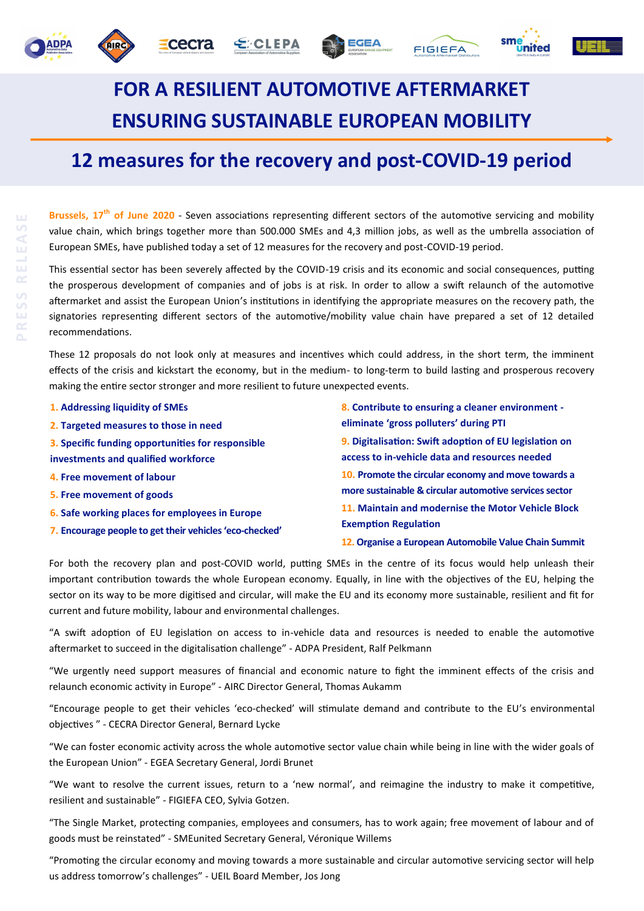







## **FOR A RESILIENT AUTOMOTIVE AFTERMARKET ENSURING SUSTAINABLE EUROPEAN MOBILITY**

## **12 measures for the recovery and post-COVID-19 period**

**Brussels, 17th of June 2020** - Seven associations representing different sectors of the automotive servicing and mobility value chain, which brings together more than 500.000 SMEs and 4,3 million jobs, as well as the umbrella association of European SMEs, have published today a set of 12 measures for the recovery and post-COVID-19 period.

This essential sector has been severely affected by the COVID-19 crisis and its economic and social consequences, putting the prosperous development of companies and of jobs is at risk. In order to allow a swift relaunch of the automotive aftermarket and assist the European Union's institutions in identifying the appropriate measures on the recovery path, the signatories representing different sectors of the automotive/mobility value chain have prepared a set of 12 detailed recommendations.

These 12 proposals do not look only at measures and incentives which could address, in the short term, the imminent effects of the crisis and kickstart the economy, but in the medium- to long-term to build lasting and prosperous recovery making the entire sector stronger and more resilient to future unexpected events.

| 1. Addressing liquidity of SMEs                         | 8. Contribute to ensuring a cleaner environment -<br>eliminate 'gross polluters' during PTI                                                                                                        |  |
|---------------------------------------------------------|----------------------------------------------------------------------------------------------------------------------------------------------------------------------------------------------------|--|
| 2. Targeted measures to those in need                   |                                                                                                                                                                                                    |  |
| 3. Specific funding opportunities for responsible       | 9. Digitalisation: Swift adoption of EU legislation on<br>access to in-vehicle data and resources needed                                                                                           |  |
| investments and qualified workforce                     |                                                                                                                                                                                                    |  |
| 4. Free movement of labour                              | 10. Promote the circular economy and move towards a<br>more sustainable & circular automotive services sector<br>11. Maintain and modernise the Motor Vehicle Block<br><b>Exemption Regulation</b> |  |
| 5. Free movement of goods                               |                                                                                                                                                                                                    |  |
| 6. Safe working places for employees in Europe          |                                                                                                                                                                                                    |  |
| 7. Encourage people to get their vehicles 'eco-checked' |                                                                                                                                                                                                    |  |
|                                                         | 12. Organise a European Automobile Value Chain Summit                                                                                                                                              |  |

For both the recovery plan and post-COVID world, putting SMEs in the centre of its focus would help unleash their important contribution towards the whole European economy. Equally, in line with the objectives of the EU, helping the sector on its way to be more digitised and circular, will make the EU and its economy more sustainable, resilient and fit for current and future mobility, labour and environmental challenges.

"A swift adoption of EU legislation on access to in-vehicle data and resources is needed to enable the automotive aftermarket to succeed in the digitalisation challenge" - ADPA President, Ralf Pelkmann

"We urgently need support measures of financial and economic nature to fight the imminent effects of the crisis and relaunch economic activity in Europe" - AIRC Director General, Thomas Aukamm

"Encourage people to get their vehicles 'eco-checked' will stimulate demand and contribute to the EU's environmental objectives " - CECRA Director General, Bernard Lycke

"We can foster economic activity across the whole automotive sector value chain while being in line with the wider goals of the European Union" - EGEA Secretary General, Jordi Brunet

"We want to resolve the current issues, return to a 'new normal', and reimagine the industry to make it competitive, resilient and sustainable" - FIGIEFA CEO, Sylvia Gotzen.

"The Single Market, protecting companies, employees and consumers, has to work again; free movement of labour and of goods must be reinstated" - SMEunited Secretary General, Véronique Willems

"Promoting the circular economy and moving towards a more sustainable and circular automotive servicing sector will help us address tomorrow's challenges" - UEIL Board Member, Jos Jong